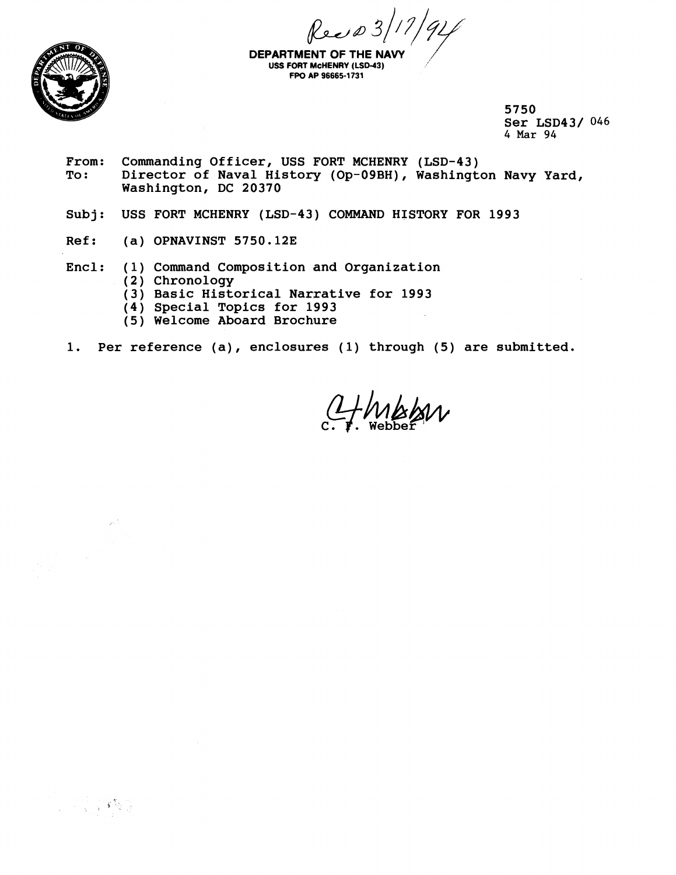$\int \frac{1}{\sqrt{4}}$ DEPARTMENT OF THE NAVY



**USS FORT McHENRY (LSD-43) FPO kP 96665-1 731** 

**5750 Ser LSD43/** 046 **4 Mar** *94* 

- **From: Commanding Officer, USS FORT MCHENRY (LSD-43) To** : **Director of Naval History (Op-09BH), Washington Navy Yard, Washington, DC 20370**
- **Subj: USS FORT MCHENRY (LSD-43) COMMAND HISTORY FOR 1993**
- **Ref: (a) OPNAVINST 5750.123**
- **Encl: (1) Command Composition and Organization** 
	- **(2) Chronology**

 $\omega^{\xi}$ 

 $\sim 10^6$ 

2. "我们的

- **(3) Basic Historical Narrative for 1993**
- **(4) Special Topics for 1993**
- **(5) Welcome Aboard Brochure**
- **1. Per reference (a), enclosures (1) through (5) are submitted.**

HMBAN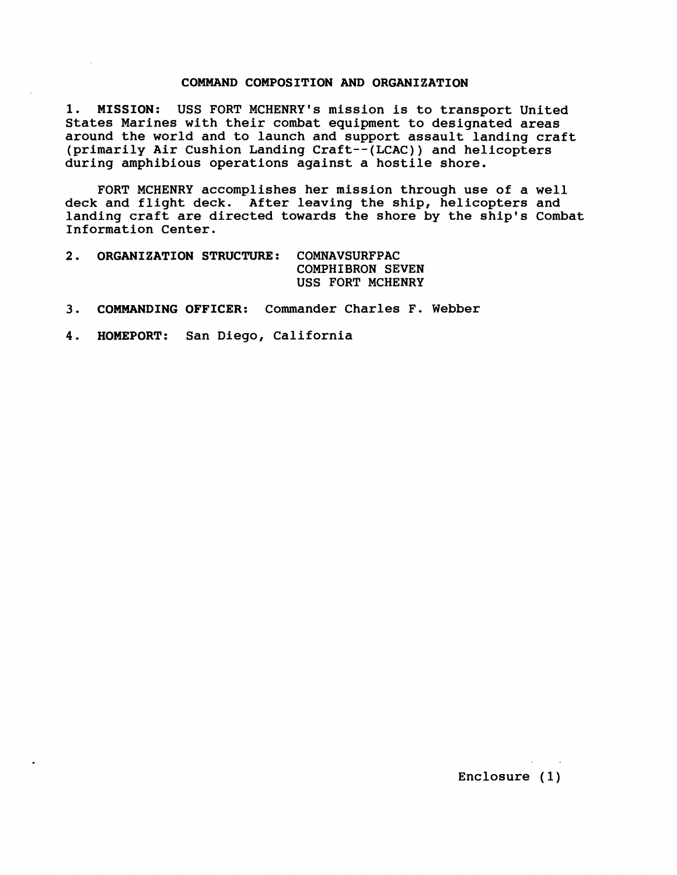## **COMMAND COMPOSITION AND ORGANIZATION**

**1. MISSION:** USS FORT MCHENRY's mission is to transport United States Marines with their combat equipment to designated areas around the world and to launch and support assault landing craft (primarily Air Cushion Landing Craft--(LCAC)) and helicopters during amphibious operations against a hostile shore.

FORT MCHENRY accomplishes her mission through use of a well deck and flight deck. After leaving the ship, helicopters and landing craft are directed towards the shore by the ship's Combat Information Center.

- **2. ORGANIZATION STRUCTURE:** COMNAVSURFPAC COMPHIBRON SEVEN US6 FORT MCHENRY
- **3. COMMANDING OFFICER:** Commander Charles **F.** Webber
- **4. HOMEPORT:** San Diego, California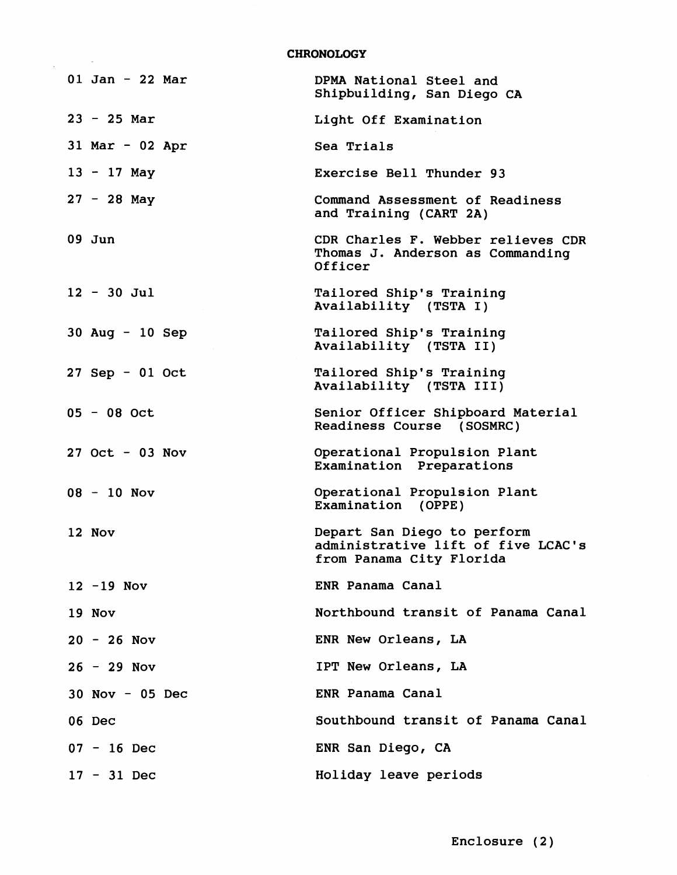**CHRONOLOGY** 

| $01$ Jan - 22 Mar | DPMA National Steel and<br>Shipbuilding, San Diego CA                                         |
|-------------------|-----------------------------------------------------------------------------------------------|
| $23 - 25$ Mar     | Light Off Examination                                                                         |
| $31$ Mar - 02 Apr | Sea Trials                                                                                    |
| $13 - 17$ May     | Exercise Bell Thunder 93                                                                      |
| $27 - 28$ May     | Command Assessment of Readiness<br>and Training (CART 2A)                                     |
| $09$ Jun          | CDR Charles F. Webber relieves CDR<br>Thomas J. Anderson as Commanding<br>Officer             |
| $12 - 30$ Jul     | Tailored Ship's Training<br>Availability (TSTA I)                                             |
| 30 Aug $-10$ Sep  | Tailored Ship's Training<br>Availability (TSTA II)                                            |
| $27$ Sep - 01 Oct | Tailored Ship's Training<br>Availability (TSTA III)                                           |
| $05 - 08$ Oct     | Senior Officer Shipboard Material<br>Readiness Course (SOSMRC)                                |
| $27$ Oct - 03 Nov | Operational Propulsion Plant<br>Examination Preparations                                      |
| $08 - 10$ Nov     | Operational Propulsion Plant<br>Examination (OPPE)                                            |
| 12 Nov            | Depart San Diego to perform<br>administrative lift of five LCAC's<br>from Panama City Florida |
| $12 - 19$ Nov     | ENR Panama Canal                                                                              |
| 19 Nov            | Northbound transit of Panama Canal                                                            |
| $20 - 26$ Nov     | ENR New Orleans, LA                                                                           |
| $26 - 29$ Nov     | IPT New Orleans, LA                                                                           |
| $30$ Nov - 05 Dec | ENR Panama Canal                                                                              |
| 06 Dec            | Southbound transit of Panama Canal                                                            |
| $07 - 16$ Dec     | ENR San Diego, CA                                                                             |
| $17 - 31$ Dec     | Holiday leave periods                                                                         |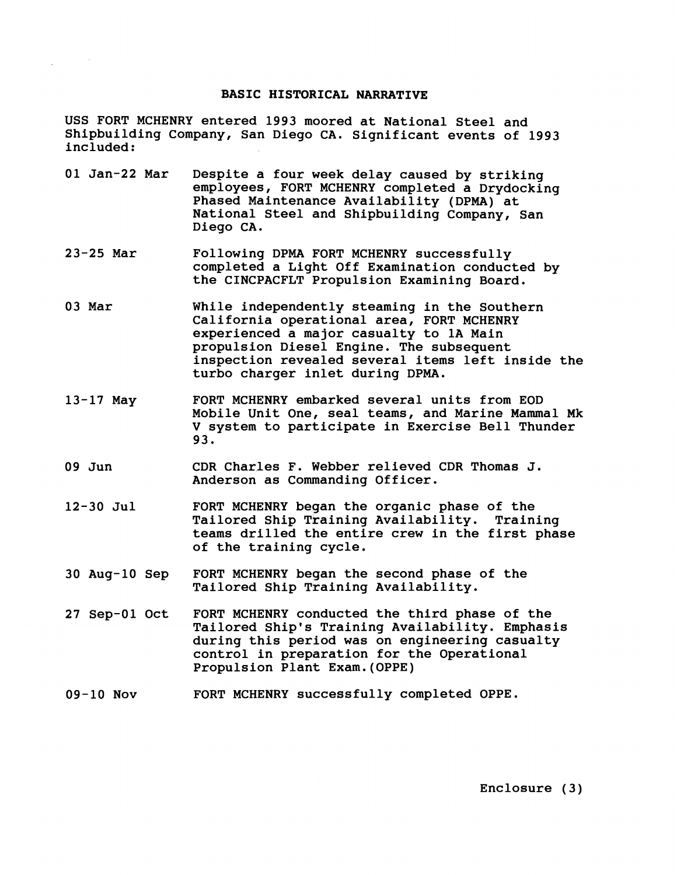## **BASIC HISTORICAL NARRATIVE**

USS FORT MCHENRY entered 1993 moored at National Steel and Shipbuilding Company, San Diego CA. Significant events of 1993 included :

- 01 Jan-22 Mar Despite a four week delay caused by striking employees, FORT MCHENRY completed a Drydocking Phased Maintenance Availability (DPMA) at National Steel and Shipbuilding Company, San Diego CA.
- 23-25 Mar Following DPMA FORT MCHENRY successfully completed a Light Off Examination conducted by the CINCPACFLT Propulsion Examining Board.
- 03 Mar While independently steaming in the Southern California operational area, FORT MCHENRY experienced a major casualty to 1A Main propulsion Diesel Engine. The subsequent inspection revealed several items left inside the turbo charger inlet during DPMA.
- 13-17 May FORT MCHENRY embarked several units from EOD Mobile Unit One, seal teams, and Marine Mammal Mk V system to participate in Exercise Bell Thunder 93.
- 09 Jun CDR Charles F. Webber relieved CDR Thomas J. Anderson as Commanding Officer.
- 12-30 Jul FORT MCHENRY began the organic phase of the Tailored Ship Training Availability. Training teams drilled the entire crew in the first phase of the training cycle.
- 30 Aug-10 Sep FORT MCHENRY began the second phase of the Tailored Ship Training Availability.
- 27 Sep-01 Oct FORT MCHENRY conducted the third phase of the Tailored Ship's Training Availability. Emphasis during this period was on engineering casualty control in preparation for the Operational Propulsion Plant Exam.(OPPE)
- 09-10 Nov FORT MCHENRY successfully completed OPPE.

Enclosure (3)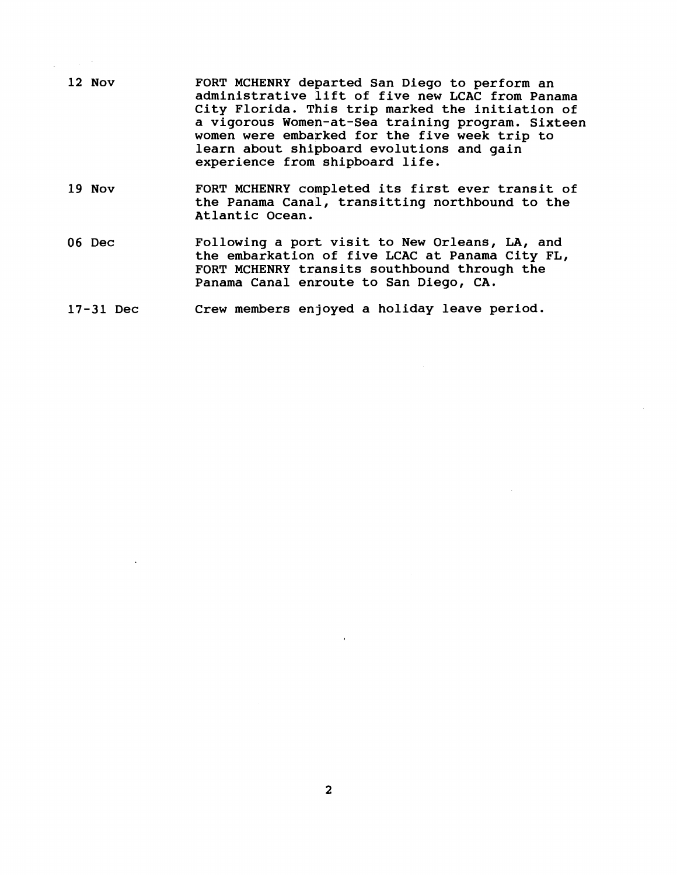- 12 Nov FORT MCHENRY departed San Diego to perform an administrative lift of five new LCAC from Panama City Florida. This trip marked the initiation of a vigorous Women-at-Sea training program. Sixteen women were embarked for the five week trip to learn about shipboard evolutions and gain experience from shipboard life.
- 19 Nov FORT MCHENRY completed its first ever transit of the Panama Canal, transitting northbound to the Atlantic Ocean.
- 06 Dec Following a port visit to New Orleans, LA, and the embarkation of five LCAC at Panama City FL, FORT MCHENRY transits southbound through the Panama Canal enroute to San Diego, CA.
- 17-31 Dec Crew members enjoyed a holiday leave period.